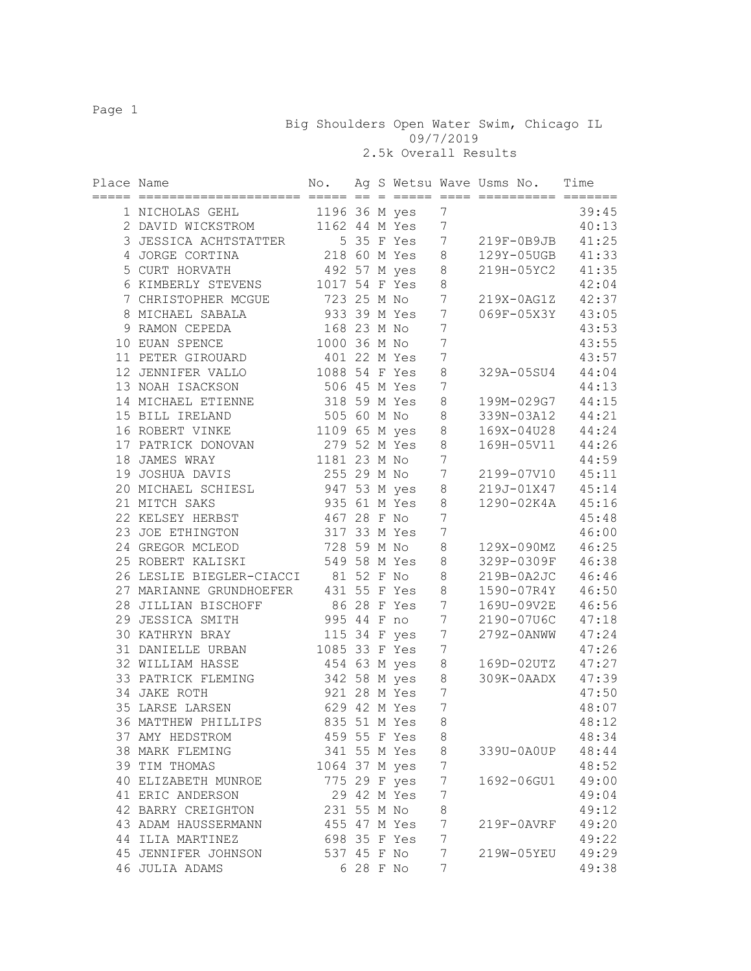Big Shoulders Open Water Swim, Chicago IL 09/7/2019

2.5k Overall Results

| Place Name |                                      | No.            |           | $=$ |                |                  | Ag S Wetsu Wave Usms No.<br>========== ======= | Time  |
|------------|--------------------------------------|----------------|-----------|-----|----------------|------------------|------------------------------------------------|-------|
|            | 1 NICHOLAS GEHL                      | 1196 36 M yes  |           |     |                | 7                |                                                | 39:45 |
|            | 2 DAVID WICKSTROM                    |                |           |     | 1162 44 M Yes  | $7\phantom{.0}$  |                                                | 40:13 |
|            | 3 JESSICA ACHTSTATTER                |                |           |     | 5 35 F Yes     | $7\phantom{.0}$  | 219F-0B9JB                                     | 41:25 |
|            | 4 JORGE CORTINA                      |                |           |     | 218 60 M Yes 8 |                  | 129Y-05UGB                                     | 41:33 |
|            | 5 CURT HORVATH                       |                |           |     | 492 57 M yes 8 |                  | 219H-05YC2                                     | 41:35 |
|            | 6 KIMBERLY STEVENS                   | 1017 54 F Yes  |           |     |                | $\,8\,$          |                                                | 42:04 |
|            | 7 CHRISTOPHER MCGUE                  | 723 25 M No    |           |     |                | $7\phantom{.0}$  | 219X-0AG1Z                                     | 42:37 |
|            | 8 MICHAEL SABALA                     | 933 39 M Yes   |           |     |                | $7\phantom{.0}$  | 069F-05X3Y                                     | 43:05 |
|            | 9 RAMON CEPEDA                       | 168 23 M No    |           |     |                | $\overline{7}$   |                                                | 43:53 |
|            | 10 EUAN SPENCE                       | 1000 36 M No   |           |     |                | $\boldsymbol{7}$ |                                                | 43:55 |
|            | 11 PETER GIROUARD                    | 401 22 M Yes   |           |     |                | $\overline{7}$   |                                                | 43:57 |
|            | 12 JENNIFER VALLO                    | 1088 54 F Yes  |           |     |                | 8                | 329A-05SU4                                     | 44:04 |
|            | 13 NOAH ISACKSON                     | 506 45 M Yes   |           |     |                | 7                |                                                | 44:13 |
|            | 14 MICHAEL ETIENNE                   | 318 59 M Yes   |           |     |                | $\,8\,$          | 199M-029G7                                     | 44:15 |
|            | 15 BILL IRELAND                      | 505 60 M No    |           |     |                | $\,8\,$          | 339N-03A12                                     | 44:21 |
|            | 16 ROBERT VINKE                      |                |           |     | 1109 65 M yes  | 8                | 169X-04U28                                     | 44:24 |
|            | 17 PATRICK DONOVAN                   | 279 52 M Yes   |           |     |                | $\,8\,$          | 169H-05V11                                     | 44:26 |
|            | 18 JAMES WRAY                        | 1181 23 M No   |           |     |                | $\overline{7}$   |                                                | 44:59 |
|            | 19 JOSHUA DAVIS                      |                |           |     | 255 29 M No    | $7\phantom{.0}$  | 2199-07V10                                     | 45:11 |
|            | 20 MICHAEL SCHIESL                   | 947 53 M yes 8 |           |     |                |                  | 219J-01X47                                     | 45:14 |
|            | 21 MITCH SAKS                        | 935 61 M Yes   |           |     |                | 8                | 1290-02K4A                                     | 45:16 |
|            | 22 KELSEY HERBST                     | 467 28 F No    |           |     |                | $\overline{7}$   |                                                | 45:48 |
|            | 23 JOE ETHINGTON                     | 317 33 M Yes   |           |     |                | 7                |                                                | 46:00 |
|            | 24 GREGOR MCLEOD                     | 728 59 M No    |           |     |                | 8                | 129X-090MZ                                     | 46:25 |
|            | 25 ROBERT KALISKI                    |                |           |     | 549 58 M Yes   | 8                | 329P-0309F 46:38                               |       |
|            | 26 LESLIE BIEGLER-CIACCI             | 81 52 F No     |           |     |                | 8                | 219B-0A2JC 46:46                               |       |
|            | 27 MARIANNE GRUNDHOEFER 431 55 F Yes |                |           |     |                | 8                | 1590-07R4Y 46:50                               |       |
|            | 28 JILLIAN BISCHOFF                  | 86 28 F Yes    |           |     |                | $\overline{7}$   | 169U-09V2E 46:56                               |       |
|            | 29 JESSICA SMITH                     | 995 44 F no    |           |     |                | $7\phantom{.0}$  | 2190-07U6C                                     | 47:18 |
|            | 30 KATHRYN BRAY                      |                |           |     | 115 34 F yes   | $7\phantom{.0}$  | 279Z-0ANWW 47:24                               |       |
|            | 31 DANIELLE URBAN                    | 1085 33 F Yes  |           |     |                | $\overline{7}$   |                                                | 47:26 |
|            | 32 WILLIAM HASSE                     | 454 63 M yes   |           |     |                | $\,8\,$          | 169D-02UTZ                                     | 47:27 |
|            | 33 PATRICK FLEMING                   | 342 58 M yes   |           |     |                | 8                | 309K-0AADX                                     | 47:39 |
|            | 34 JAKE ROTH                         | 921 28 M Yes   |           |     |                | 7                |                                                | 47:50 |
|            | 35 LARSE LARSEN                      | 629 42 M Yes   |           |     |                | 7                |                                                | 48:07 |
|            | 36 MATTHEW PHILLIPS                  |                |           |     | 835 51 M Yes   | 8                |                                                | 48:12 |
|            | 37 AMY HEDSTROM                      |                |           |     | 459 55 F Yes   | 8                |                                                | 48:34 |
|            | 38 MARK FLEMING                      |                |           |     | 341 55 M Yes   | 8                | 339U-0A0UP                                     | 48:44 |
|            | 39 TIM THOMAS                        | 1064 37 M yes  |           |     |                | 7                |                                                | 48:52 |
|            | 40 ELIZABETH MUNROE                  | 775 29 F yes   |           |     |                | 7                | 1692-06GU1                                     | 49:00 |
|            | 41 ERIC ANDERSON                     |                |           |     | 29 42 M Yes    | 7                |                                                | 49:04 |
|            | 42 BARRY CREIGHTON                   | 231 55 M No    |           |     |                | 8                |                                                | 49:12 |
|            | 43 ADAM HAUSSERMANN                  | 455 47 M Yes   |           |     |                | 7                | 219F-0AVRF                                     | 49:20 |
|            | 44 ILIA MARTINEZ                     |                |           |     | 698 35 F Yes   | 7                |                                                | 49:22 |
|            | 45 JENNIFER JOHNSON                  | 537 45 F No    |           |     |                | 7                | 219W-05YEU                                     | 49:29 |
|            | 46 JULIA ADAMS                       |                | 6 28 F No |     |                | 7                |                                                | 49:38 |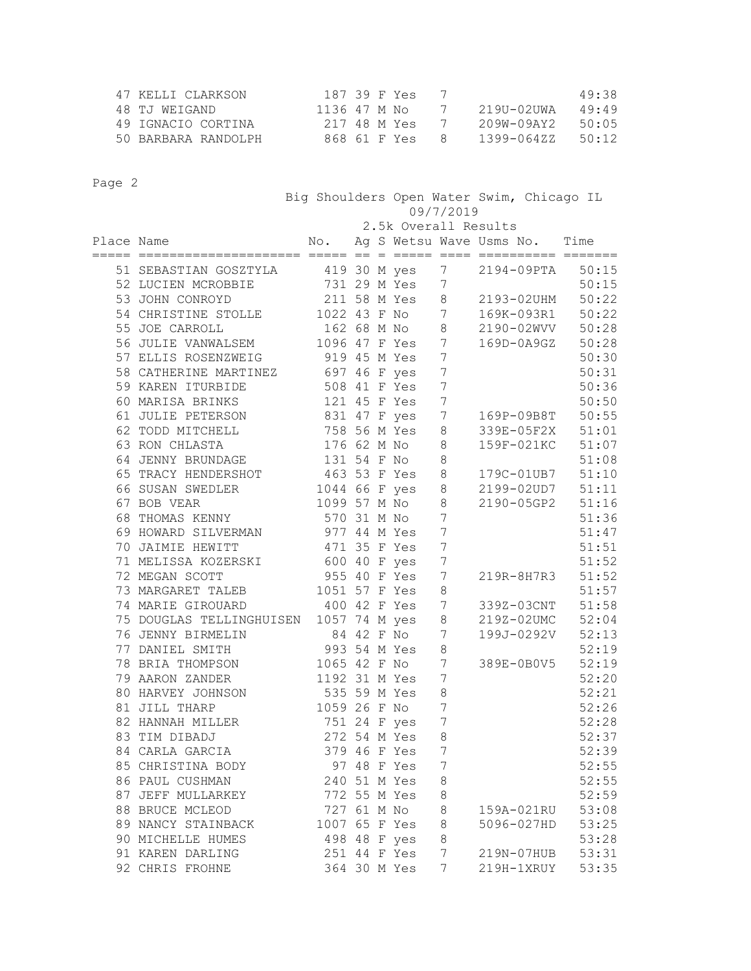| 47 KELLI CLARKSON   | 187 39 F Yes |               |              | 49:38 |
|---------------------|--------------|---------------|--------------|-------|
| 48 TJ WEIGAND       | 1136 47 M No | $\frac{1}{2}$ | 21911-0211WA | 49.49 |
| 49 IGNACIO CORTINA  | 217 48 M Yes |               | 209W-09AY2   | 50.05 |
| 50 BARBARA RANDOLPH | 868 61 F Yes | 8             | 1399-06477   | 50.12 |

|            |                                        |               |  | Big Shoulders Open Water Swim, Chicago IL<br>09/7/2019 |                  |            |            |                  |
|------------|----------------------------------------|---------------|--|--------------------------------------------------------|------------------|------------|------------|------------------|
|            |                                        |               |  | 2.5k Overall Results                                   |                  |            |            |                  |
| Place Name | ==================                     | $=$ == $=$    |  | No. Ag S Wetsu Wave Usms No. Time                      |                  |            |            |                  |
|            | 51 SEBASTIAN GOSZTYLA                  |               |  | 419 30 M yes                                           | 7                | 2194-09PTA |            | 50:15            |
|            | 52 LUCIEN MCROBBIE                     |               |  | 731 29 M Yes                                           | 7                |            |            | 50:15            |
|            | 53 JOHN CONROYD                        |               |  | 211 58 M Yes 8                                         |                  | 2193-02UHM |            | 50:22            |
|            | 54 CHRISTINE STOLLE                    | 1022 43 F No  |  |                                                        | $7\overline{ }$  | 169K-093R1 |            | 50:22            |
|            | 55 JOE CARROLL                         |               |  | 162 68 M No 8                                          |                  | 2190-02WVV |            | 50:28            |
|            | 56 JULIE VANWALSEM                     |               |  | 1096 47 F Yes 7                                        |                  |            | 169D-0A9GZ | 50:28            |
|            | 57 ELLIS ROSENZWEIG                    | 919 45 M Yes  |  |                                                        | $\overline{7}$   |            |            | 50:30            |
|            | 58 CATHERINE MARTINEZ                  | 697 46 F yes  |  |                                                        | $\overline{7}$   |            |            | 50:31            |
|            | 59 KAREN ITURBIDE                      |               |  | 508 41 F Yes                                           | $\boldsymbol{7}$ |            |            | 50:36            |
|            | 60 MARISA BRINKS                       |               |  | 121 45 F Yes                                           | $\overline{7}$   |            |            | 50:50            |
|            | 61 JULIE PETERSON                      |               |  | 831 47 F yes                                           | $7\phantom{.0}$  |            | 169P-09B8T | 50:55            |
|            | 62 TODD MITCHELL                       |               |  | 758 56 M Yes                                           | 8                |            | 339E-05F2X | 51:01            |
|            | 63 RON CHLASTA                         | 176 62 M No   |  |                                                        | $\,8\,$          |            | 159F-021KC | 51:07            |
|            | 64 JENNY BRUNDAGE                      | 131 54 F No   |  |                                                        | 8                |            |            | 51:08            |
|            | 65 TRACY HENDERSHOT                    | 463 53 F Yes  |  |                                                        | 8                |            |            | 179C-01UB7 51:10 |
|            | 66 SUSAN SWEDLER                       | 1044 66 F yes |  |                                                        | 8                |            |            | 2199-02UD7 51:11 |
|            | 67 BOB VEAR                            |               |  | 1099 57 M No                                           | 8                |            |            | 2190-05GP2 51:16 |
|            | 68 THOMAS KENNY                        | 570 31 M No   |  |                                                        | $\overline{7}$   |            |            | 51:36            |
|            | 69 HOWARD SILVERMAN                    | 977 44 M Yes  |  |                                                        | 7                |            |            | 51:47            |
|            | 70 JAIMIE HEWITT                       | 471 35 F Yes  |  |                                                        | $7\phantom{.0}$  |            |            | 51:51            |
|            | 71 MELISSA KOZERSKI 600 40 F yes       |               |  |                                                        | $\overline{7}$   |            |            | 51:52            |
|            | 72 MEGAN SCOTT                         | 955 40 F Yes  |  |                                                        | $\overline{7}$   |            | 219R-8H7R3 | 51:52            |
|            | 73 MARGARET TALEB                      | 1051 57 F Yes |  |                                                        | 8                |            |            | 51:57            |
|            | 74 MARIE GIROUARD                      | 400 42 F Yes  |  |                                                        | $\overline{7}$   |            |            | 339Z-03CNT 51:58 |
|            | 75 DOUGLAS TELLINGHUISEN 1057 74 M yes |               |  |                                                        | 8                |            | 219Z-02UMC | 52:04            |
|            | 76 JENNY BIRMELIN                      | 84 42 F No    |  |                                                        | 7                |            | 199J-0292V | 52:13            |
|            | 77 DANIEL SMITH                        | 993 54 M Yes  |  |                                                        | $\,8\,$          |            |            | 52:19            |
|            | 78 BRIA THOMPSON                       | 1065 42 F No  |  |                                                        | 7                |            | 389E-0B0V5 | 52:19            |
|            | 79 AARON ZANDER                        | 1192 31 M Yes |  |                                                        | 7                |            |            | 52:20            |
|            | 80 HARVEY JOHNSON                      | 535 59 M Yes  |  |                                                        | 8                |            |            | 52:21            |
|            | 81 JILL THARP                          | 1059 26 F No  |  |                                                        | 7                |            |            | 52:26            |
|            | 82 HANNAH MILLER                       | 751 24 F yes  |  |                                                        | 7                |            |            | 52:28            |
|            | 83 TIM DIBADJ                          |               |  | 272 54 M Yes                                           | 8                |            |            | 52:37            |
|            | 84 CARLA GARCIA                        |               |  | 379 46 F Yes                                           | 7                |            |            | 52:39            |
|            | 85 CHRISTINA BODY                      |               |  | 97 48 F Yes                                            | 7                |            |            | 52:55            |
|            | 86 PAUL CUSHMAN                        |               |  | 240 51 M Yes                                           | 8                |            |            | 52:55            |
|            | 87 JEFF MULLARKEY                      |               |  | 772 55 M Yes                                           | 8                |            |            | 52:59            |
|            | 88 BRUCE MCLEOD                        | 727 61 M No   |  |                                                        | 8                |            | 159A-021RU | 53:08            |
|            | 89 NANCY STAINBACK                     | 1007 65 F Yes |  |                                                        | 8                |            | 5096-027HD | 53:25            |
|            | 90 MICHELLE HUMES                      |               |  | 498 48 F yes                                           | 8                |            |            | 53:28            |
|            | 91 KAREN DARLING                       |               |  | 251 44 F Yes                                           | 7                |            | 219N-07HUB | 53:31            |
|            | 92 CHRIS FROHNE                        |               |  | 364 30 M Yes                                           | 7                |            | 219H-1XRUY | 53:35            |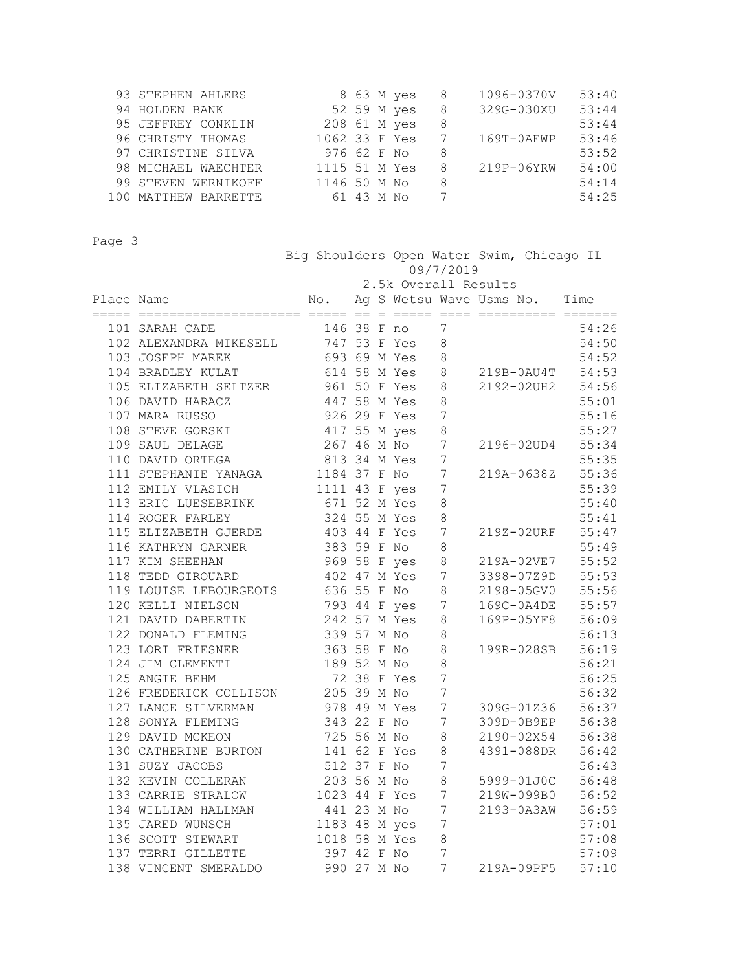| 93 STEPHEN AHLERS    |               |            | 8 63 M yes  | - 8 | 1096-0370V     | 53:40 |
|----------------------|---------------|------------|-------------|-----|----------------|-------|
| 94 HOLDEN BANK       |               |            | 52 59 M yes | 8   | 329G-030XU     | 53:44 |
| 95 JEFFREY CONKLIN   | 208 61 M yes  |            |             | 8   |                | 53:44 |
| 96 CHRISTY THOMAS    | 1062 33 F Yes |            |             |     | $169T - 0AENE$ | 53:46 |
| 97 CHRISTINE SILVA   | 976 62 F No   |            |             | 8   |                | 53:52 |
| 98 MICHAEL WAECHTER  | 1115 51 M Yes |            |             | 8   | 219P-06YRW     | 54:00 |
| 99 STEVEN WERNIKOFF  | 1146 50 M No  |            |             | 8   |                | 54:14 |
| 100 MATTHEW BARRETTE |               | 61 43 M No |             |     |                | 54:25 |

 Big Shoulders Open Water Swim, Chicago IL 09/7/2019 2.5k Overall Results Place Name  $N$ o. Ag S Wetsu Wave Usms No. Time ===== ===================== ===== == = ===== ==== ========== ======= 101 SARAH CADE 146 38 F no 7 54:26 102 ALEXANDRA MIKESELL 747 53 F Yes 8 54:50 103 JOSEPH MAREK 693 69 M Yes 8 54:52 104 BRADLEY KULAT 614 58 M Yes 8 219B-0AU4T 54:53 105 ELIZABETH SELTZER 961 50 F Yes 8 2192-02UH2 54:56 106 DAVID HARACZ 447 58 M Yes 8 55:01 107 MARA RUSSO 926 29 F Yes 7 55:16 108 STEVE GORSKI 417 55 M yes 8 55:27 109 SAUL DELAGE 267 46 M No 7 2196-02UD4 55:34 110 DAVID ORTEGA 813 34 M Yes 7 55:35 111 STEPHANIE YANAGA 1184 37 F No 7 219A-0638Z 55:36 112 EMILY VLASICH 1111 43 F yes 7 55:39 113 ERIC LUESEBRINK 671 52 M Yes 8 55:40 114 ROGER FARLEY 324 55 M Yes 8 55:41 115 ELIZABETH GJERDE 403 44 F Yes 7 219Z-02URF 55:47 116 KATHRYN GARNER 383 59 F No 8 55:49 117 KIM SHEEHAN 969 58 F yes 8 219A-02VE7 55:52 118 TEDD GIROUARD 402 47 M Yes 7 3398-07Z9D 55:53 119 LOUISE LEBOURGEOIS 636 55 F No 8 2198-05GV0 55:56 120 KELLI NIELSON 793 44 F yes 7 169C-0A4DE 55:57 121 DAVID DABERTIN 242 57 M Yes 8 169P-05YF8 56:09 122 DONALD FLEMING 339 57 M No 8 56:13 123 LORI FRIESNER 363 58 F No 8 199R-028SB 56:19 124 JIM CLEMENTI 189 52 M No 8 56:21 125 ANGIE BEHM 72 38 F Yes 7 56:25 126 FREDERICK COLLISON 205 39 M No 7 56:32 127 LANCE SILVERMAN 978 49 M Yes 7 309G-01Z36 56:37 128 SONYA FLEMING 343 22 F No 7 309D-0B9EP 56:38 129 DAVID MCKEON 725 56 M No 8 2190-02X54 56:38 130 CATHERINE BURTON 141 62 F Yes 8 4391-088DR 56:42 131 SUZY JACOBS 512 37 F No 7 56:43 132 KEVIN COLLERAN 203 56 M No 8 5999-01J0C 56:48

 133 CARRIE STRALOW 1023 44 F Yes 7 219W-099B0 56:52 134 WILLIAM HALLMAN 441 23 M No 7 2193-0A3AW 56:59 135 JARED WUNSCH 1183 48 M yes 7 57:01 136 SCOTT STEWART 1018 58 M Yes 8 57:08 137 TERRI GILLETTE 397 42 F No 7 57:09 138 VINCENT SMERALDO 990 27 M No 7 219A-09PF5 57:10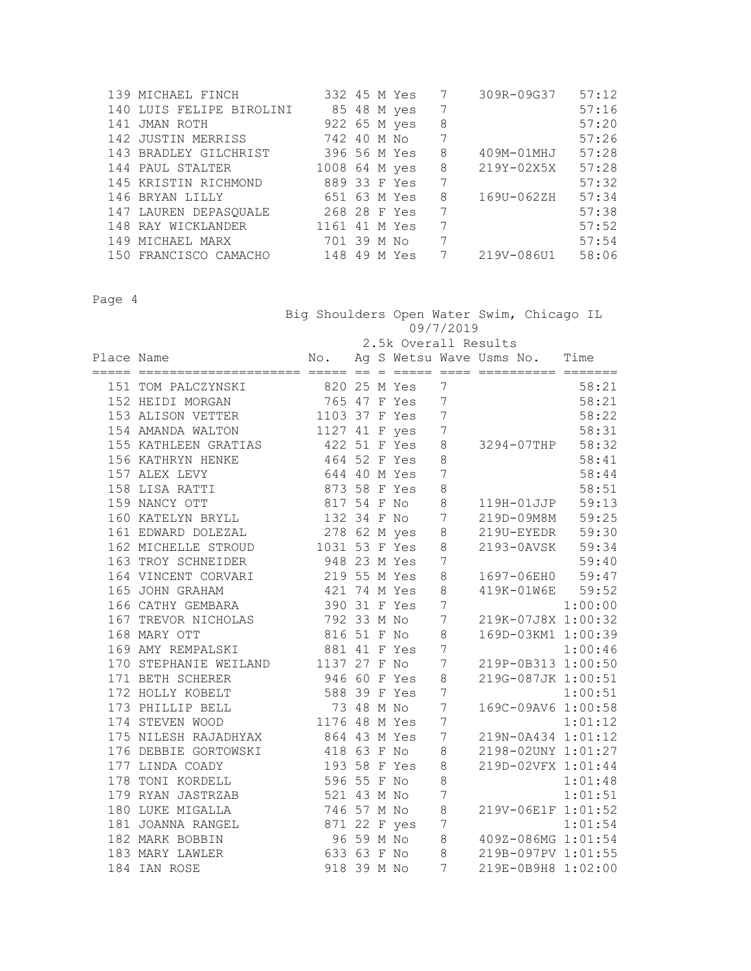| 139 MICHAEL FINCH        |     | 332 45 M Yes  |   | 309R-09G37 | 57:12 |
|--------------------------|-----|---------------|---|------------|-------|
| 140 LUIS FELIPE BIROLINI |     | 85 48 M yes   | 7 |            | 57:16 |
| 141 JMAN ROTH            |     | 922 65 M yes  | 8 |            | 57:20 |
| 142 JUSTIN MERRISS       |     | 742 40 M No   | 7 |            | 57:26 |
| 143 BRADLEY GILCHRIST    |     | 396 56 M Yes  | 8 | 409M-01MHJ | 57:28 |
| 144 PAUL STALTER         |     | 1008 64 M yes | 8 | 219Y-02X5X | 57:28 |
| 145 KRISTIN RICHMOND     |     | 889 33 F Yes  | 7 |            | 57:32 |
| 146 BRYAN LILLY          |     | 651 63 M Yes  | 8 | 169U-062ZH | 57:34 |
| 147 LAUREN DEPASOUALE    |     | 268 28 F Yes  | 7 |            | 57:38 |
| 148 RAY WICKLANDER       |     | 1161 41 M Yes | 7 |            | 57:52 |
| 149 MICHAEL MARX         |     | 701 39 M No   | 7 |            | 57:54 |
| 150 FRANCISCO CAMACHO    | 148 | 49 M Yes      |   | 219V-086U1 | 58:06 |

 Big Shoulders Open Water Swim, Chicago IL 09/7/2019 2.5k Overall Results Place Name No. Ag S Wetsu Wave Usms No. Time ===== ===================== ===== == = ===== ==== ========== ======= 151 TOM PALCZYNSKI 820 25 M Yes 7 58:21<br>152 HEIDI MORGAN 765 47 F Yes 7 58:21 152 HEIDI MORGAN 765 47 F Yes 7 58:21 153 ALISON VETTER 1103 37 F Yes 7 58:22 154 AMANDA WALTON 1127 41 F yes 7 58:31 155 KATHLEEN GRATIAS 422 51 F Yes 8 3294-07THP 58:32 156 KATHRYN HENKE 464 52 F Yes 8 58:41 157 ALEX LEVY 644 40 M Yes 7 58:44 158 LISA RATTI 873 58 F Yes 8 58:51 159 NANCY OTT 817 54 F No 8 119H-01JJP 59:13 160 KATELYN BRYLL 132 34 F No 7 219D-09M8M 59:25 161 EDWARD DOLEZAL 278 62 M yes 8 219U-EYEDR 59:30 162 MICHELLE STROUD 1031 53 F Yes 8 2193-0AVSK 59:34 163 TROY SCHNEIDER 948 23 M Yes 7 59:40 163 TROY SCHNEIDER 948 23 M Yes 7 59:40<br>164 VINCENT CORVARI 219 55 M Yes 8 1697-06EH0 59:47 165 JOHN GRAHAM 421 74 M Yes 8 419K-01W6E 59:52 166 CATHY GEMBARA 390 31 F Yes 7 1:00:00 167 TREVOR NICHOLAS 792 33 M No 7 219K-07J8X 1:00:32 168 MARY OTT 816 51 F No 8 169D-03KM1 1:00:39 169 AMY REMPALSKI 881 41 F Yes 7 1:00:46 170 STEPHANIE WEILAND 1137 27 F No 7 219P-0B313 1:00:50 171 BETH SCHERER 946 60 F Yes 8 219G-087JK 1:00:51 172 HOLLY KOBELT 588 39 F Yes 7 1:00:51 172 HOLLY KOBELT 588 39 F Yes 7 1:00:51<br>173 PHILLIP BELL 73 48 M No 7 169C-09AV6 1:00:58<br>174 STEVEN WOOD 1176 48 M Yes 7 1:01:12 174 STEVEN WOOD 1176 48 M Yes 7 1:01:12 175 NILESH RAJADHYAX 864 43 M Yes 7 219N-0A434 1:01:12 176 DEBBIE GORTOWSKI 418 63 F No 8 2198-02UNY 1:01:27 177 LINDA COADY 193 58 F Yes 8 219D-02VFX 1:01:44 178 TONI KORDELL 596 55 F No 8 1:01:48 179 RYAN JASTRZAB 521 43 M No 7 1:01:51 180 LUKE MIGALLA 746 57 M No 8 219V-06E1F 1:01:52 181 JOANNA RANGEL 871 22 F yes 7 1:01:54 182 MARK BOBBIN 96 59 M No 8 409Z-086MG 1:01:54 183 MARY LAWLER 633 63 F No 8 219B-097PV 1:01:55 184 IAN ROSE 918 39 M No 7 219E-0B9H8 1:02:00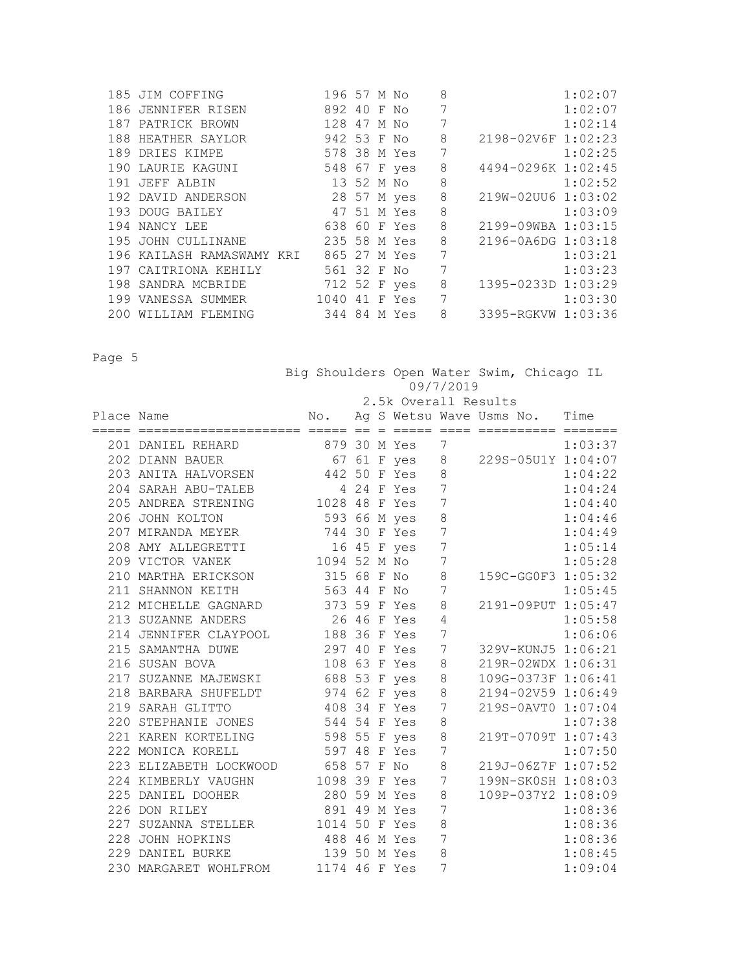|     | 185 JIM COFFING           | 196 57 M No  |  |          | 8       |                    | 1:02:07 |
|-----|---------------------------|--------------|--|----------|---------|--------------------|---------|
|     | 186 JENNIFER RISEN        | 892 40 F No  |  |          | 7       |                    | 1:02:07 |
|     | 187 PATRICK BROWN         | 128 47 M No  |  |          | 7       |                    | 1:02:14 |
|     | 188 HEATHER SAYLOR        | 942 53 F No  |  |          | 8       | 2198-02V6F 1:02:23 |         |
|     | 189 DRIES KIMPE           | 578 38 M Yes |  |          | 7       |                    | 1:02:25 |
|     | 190 LAURIE KAGUNI         | 548 67 F yes |  |          | $\,8\,$ | 4494-0296K 1:02:45 |         |
|     | 191 JEFF ALBIN            | 13 52 M No   |  |          | 8       |                    | 1:02:52 |
|     | 192 DAVID ANDERSON        | 28 57 M yes  |  |          | 8       | 219W-02UU6 1:03:02 |         |
|     | 193 DOUG BAILEY           | 47 51 M Yes  |  |          | $\,8\,$ |                    | 1:03:09 |
|     | 194 NANCY LEE             | 638 60 F Yes |  |          | 8       | 2199-09WBA 1:03:15 |         |
|     | 195 JOHN CULLINANE        | 235 58 M Yes |  |          | 8       | 2196-0A6DG 1:03:18 |         |
|     | 196 KAILASH RAMASWAMY KRI | 865 27 M Yes |  |          | 7       |                    | 1:03:21 |
|     | 197 CAITRIONA KEHILY      | 561 32 F No  |  |          | 7       |                    | 1:03:23 |
|     | 198 SANDRA MCBRIDE        | 712 52 F yes |  |          | 8       | 1395-0233D 1:03:29 |         |
|     | 199 VANESSA SUMMER        | 1040         |  | 41 F Yes | 7       |                    | 1:03:30 |
| 200 | WILLIAM FLEMING           | 344 84 M Yes |  |          | 8       | 3395-RGKVW 1:03:36 |         |

|            |                                                                                                         |                                   |  |                      |                 | Big Shoulders Open Water Swim, Chicago IL |         |
|------------|---------------------------------------------------------------------------------------------------------|-----------------------------------|--|----------------------|-----------------|-------------------------------------------|---------|
|            |                                                                                                         |                                   |  |                      | 09/7/2019       |                                           |         |
|            |                                                                                                         |                                   |  | 2.5k Overall Results |                 |                                           |         |
| Place Name |                                                                                                         |                                   |  |                      |                 | No. Ag S Wetsu Wave Usms No. Time         |         |
|            |                                                                                                         |                                   |  |                      |                 |                                           |         |
|            | 201 DANIEL REHARD 879 30 M Yes 7<br>202 DIANN BAUER 67 61 F yes 8<br>203 ANITA HALVORSEN 442 50 F Yes 8 |                                   |  |                      |                 |                                           | 1:03:37 |
|            |                                                                                                         |                                   |  |                      |                 | 67 61 F yes 8 229S-05U1Y 1:04:07          |         |
|            |                                                                                                         |                                   |  |                      |                 |                                           | 1:04:22 |
|            | 204 SARAH ABU-TALEB 4 24 F Yes 7<br>205 ANDREA STRENING 1028 48 F Yes 7                                 |                                   |  |                      |                 |                                           | 1:04:24 |
|            |                                                                                                         |                                   |  |                      |                 |                                           | 1:04:40 |
|            | 593 66 M yes<br>206 JOHN KOLTON                                                                         |                                   |  |                      | $\,8\,$         |                                           | 1:04:46 |
|            | 207 MIRANDA MEYER 744 30 F Yes                                                                          |                                   |  |                      | $\overline{7}$  |                                           | 1:04:49 |
|            | 208 AMY ALLEGRETTI 16 45 F yes                                                                          |                                   |  |                      | $\overline{7}$  |                                           | 1:05:14 |
|            | 208 AMI ADDESNEITH<br>209 VICTOR VANEK 1094 52 M No<br>210 MARTHA ERICKSON 315 68 F No                  |                                   |  |                      | $7\phantom{.0}$ |                                           | 1:05:28 |
|            |                                                                                                         |                                   |  |                      | $8\,$           | 159C-GG0F3 1:05:32                        |         |
|            | 211 SHANNON KEITH                                                                                       | 563 44 F No                       |  |                      | $7\phantom{.0}$ |                                           | 1:05:45 |
|            | 212 MICHELLE GAGNARD 373 59 F Yes                                                                       |                                   |  |                      | 8               | 2191-09PUT 1:05:47                        |         |
|            | 213 SUZANNE ANDERS                                                                                      | 26 46 F Yes                       |  |                      | 4               |                                           | 1:05:58 |
|            | 214 JENNIFER CLAYPOOL 188 36 F Yes                                                                      |                                   |  |                      | $\overline{7}$  |                                           | 1:06:06 |
|            | 215 SAMANTHA DUWE                                                                                       | 297 40 F Yes                      |  |                      |                 | 7 329V-KUNJ5 1:06:21                      |         |
|            | 216 SUSAN BOVA                                                                                          |                                   |  | 108 63 F Yes         |                 | 8 219R-02WDX 1:06:31                      |         |
|            | 217 SUZANNE MAJEWSKI 688 53 F yes                                                                       |                                   |  |                      | 8               | 109G-0373F 1:06:41                        |         |
|            | 218 BARBARA SHUFELDT                                                                                    | 974 62 F yes                      |  |                      | 8               | 2194-02V59 1:06:49                        |         |
|            | 219 SARAH GLITTO                                                                                        |                                   |  | 408 34 F Yes         | $7\overline{ }$ | 219S-0AVT0 1:07:04                        |         |
|            | 220 STEPHANIE JONES 544 54 F Yes                                                                        |                                   |  |                      | 8               |                                           | 1:07:38 |
|            | 221 KAREN KORTELING 598 55 F yes                                                                        |                                   |  |                      | 8               | 219T-0709T 1:07:43                        |         |
|            | 222 MONICA KORELL                                                                                       | 597 48 F Yes                      |  |                      | $\overline{7}$  |                                           | 1:07:50 |
|            | 223 ELIZABETH LOCKWOOD 658 57 F No                                                                      |                                   |  |                      | 8               | 219J-06Z7F 1:07:52                        |         |
|            | 224 KIMBERLY VAUGHN 1098 39 F Yes                                                                       |                                   |  |                      | $7\phantom{.0}$ | 199N-SK0SH 1:08:03                        |         |
|            | 225 DANIEL DOOHER                                                                                       |                                   |  |                      | 8               | 109P-037Y2 1:08:09                        |         |
|            | 226 DON RILEY                                                                                           | "<br>280 59 M Yes<br>891 49 M Yes |  |                      | $\overline{7}$  |                                           | 1:08:36 |
|            | 220 DON NILLI<br>227 SUZANNA STELLER 1014 50 F Yes                                                      |                                   |  |                      | 8               |                                           | 1:08:36 |
|            | 228 JOHN HOPKINS                                                                                        | 488 46 M Yes                      |  |                      | 7               |                                           | 1:08:36 |
|            | 229 DANIEL BURKE                                                                                        | 139 50 M Yes                      |  |                      | 8               |                                           | 1:08:45 |
|            | 230 MARGARET WOHLFROM 1174 46 F Yes                                                                     |                                   |  |                      | 7               |                                           | 1:09:04 |
|            |                                                                                                         |                                   |  |                      |                 |                                           |         |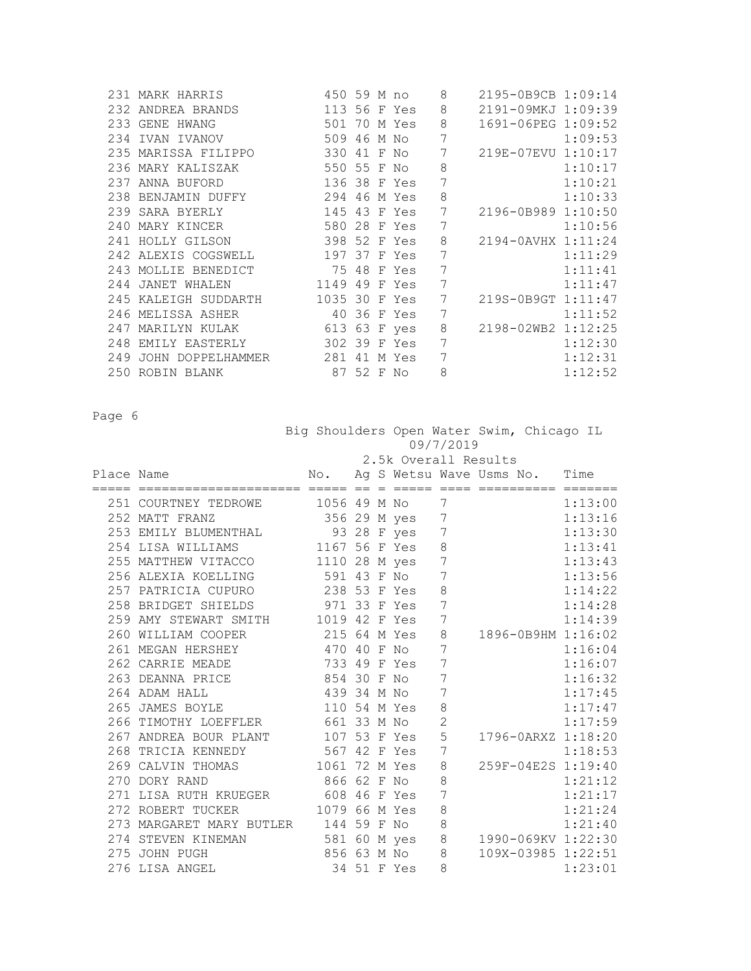|     | 231 MARK HARRIS                    | 450 59 M no   |            |              | 8 | 2195-0B9CB 1:09:14 |         |
|-----|------------------------------------|---------------|------------|--------------|---|--------------------|---------|
|     | 232 ANDREA BRANDS                  | 113 56 F Yes  |            |              | 8 | 2191-09MKJ 1:09:39 |         |
|     | 501<br>233 GENE HWANG              |               |            | 70 M Yes     | 8 | 1691-06PEG 1:09:52 |         |
|     | 234 IVAN IVANOV                    | 509 46 M No   |            |              | 7 |                    | 1:09:53 |
|     | 235 MARISSA FILIPPO                | 330 41 F No   |            |              | 7 | 219E-07EVU 1:10:17 |         |
|     | 236 MARY KALISZAK                  | 550 55 F No   |            |              | 8 |                    | 1:10:17 |
|     | 237 ANNA BUFORD                    | 136 38 F Yes  |            |              | 7 |                    | 1:10:21 |
|     | 238 BENJAMIN DUFFY                 | 294 46 M Yes  |            |              | 8 |                    | 1:10:33 |
|     | 239 SARA BYERLY                    |               |            | 145 43 F Yes | 7 | 2196-0B989 1:10:50 |         |
|     | 240 MARY KINCER                    | 580 28 F Yes  |            |              | 7 |                    | 1:10:56 |
|     | 241 HOLLY GILSON                   | 398 52 F Yes  |            |              | 8 | 2194-0AVHX 1:11:24 |         |
|     | 242 ALEXIS COGSWELL                | 197 37 F Yes  |            |              | 7 |                    | 1:11:29 |
|     | 243 MOLLIE BENEDICT                |               |            | 75 48 F Yes  | 7 |                    | 1:11:41 |
|     | 244 JANET WHALEN                   | 1149 49 F Yes |            |              | 7 |                    | 1:11:47 |
|     | 245 KALEIGH SUDDARTH 1035 30 F Yes |               |            |              | 7 | 219S-0B9GT 1:11:47 |         |
|     | 246 MELISSA ASHER                  | 40 36 F Yes   |            |              | 7 |                    | 1:11:52 |
|     | 247 MARILYN KULAK                  | 613 63 F yes  |            |              | 8 | 2198-02WB2 1:12:25 |         |
|     | 248 EMILY EASTERLY                 | 302 39 F Yes  |            |              | 7 |                    | 1:12:30 |
| 249 | JOHN DOPPELHAMMER 281              |               |            | 41 M Yes     | 7 |                    | 1:12:31 |
|     | 250 ROBIN BLANK                    |               | 87 52 F No |              | 8 |                    | 1:12:52 |

|            |                                      |               |  | Big Shoulders Open Water Swim, Chicago IL<br>09/7/2019 |                 |                                   |  |                    |  |
|------------|--------------------------------------|---------------|--|--------------------------------------------------------|-----------------|-----------------------------------|--|--------------------|--|
|            |                                      |               |  | 2.5k Overall Results                                   |                 |                                   |  |                    |  |
| Place Name |                                      |               |  |                                                        |                 | No. Ag S Wetsu Wave Usms No. Time |  |                    |  |
|            | 251 COURTNEY TEDROWE 1056 49 M No    |               |  |                                                        | 7               |                                   |  | 1:13:00            |  |
|            | 252 MATT FRANZ                       | 356 29 M yes  |  |                                                        | 7               |                                   |  | 1:13:16            |  |
|            | 253 EMILY BLUMENTHAL                 |               |  | 93 28 F yes                                            | 7               |                                   |  | 1:13:30            |  |
|            | 254 LISA WILLIAMS                    | 1167 56 F Yes |  |                                                        | 8               |                                   |  | 1:13:41            |  |
|            | 255 MATTHEW VITACCO                  | 1110 28 M yes |  |                                                        | $7\phantom{.0}$ |                                   |  | 1:13:43            |  |
|            | 256 ALEXIA KOELLING 591 43 F No      |               |  |                                                        | 7               |                                   |  | 1:13:56            |  |
|            | 257 PATRICIA CUPURO                  | 238 53 F Yes  |  |                                                        | 8               |                                   |  | 1:14:22            |  |
|            | 258 BRIDGET SHIELDS                  | 971 33 F Yes  |  |                                                        | 7               |                                   |  | 1:14:28            |  |
|            | 259 AMY STEWART SMITH 1019 42 F Yes  |               |  |                                                        | 7               |                                   |  | 1:14:39            |  |
|            | 260 WILLIAM COOPER                   | 215 64 M Yes  |  |                                                        | 8               |                                   |  | 1896-0B9HM 1:16:02 |  |
|            | 261 MEGAN HERSHEY                    | 470 40 F No   |  |                                                        | 7               |                                   |  | 1:16:04            |  |
|            | 262 CARRIE MEADE                     | 733 49 F Yes  |  |                                                        | 7               |                                   |  | 1:16:07            |  |
|            | 263 DEANNA PRICE                     | 854 30 F No   |  |                                                        | 7               |                                   |  | 1:16:32            |  |
|            | 264 ADAM HALL                        | 439 34 M No   |  |                                                        | 7               |                                   |  | 1:17:45            |  |
|            | 265 JAMES BOYLE                      | 110 54 M Yes  |  |                                                        | 8               |                                   |  | 1:17:47            |  |
|            | 266 TIMOTHY LOEFFLER 661 33 M No     |               |  |                                                        | $\overline{2}$  |                                   |  | 1:17:59            |  |
|            | 267 ANDREA BOUR PLANT                | 107 53 F Yes  |  |                                                        | 5               |                                   |  | 1796-0ARXZ 1:18:20 |  |
|            | 268 TRICIA KENNEDY                   | 567 42 F Yes  |  |                                                        | 7               |                                   |  | 1:18:53            |  |
|            | 269 CALVIN THOMAS                    | 1061 72 M Yes |  |                                                        | 8               |                                   |  | 259F-04E2S 1:19:40 |  |
|            | 270 DORY RAND                        | 866 62 F No   |  |                                                        | 8               |                                   |  | 1:21:12            |  |
|            | 271 LISA RUTH KRUEGER 608 46 F Yes   |               |  |                                                        | 7               |                                   |  | 1:21:17            |  |
|            | 272 ROBERT TUCKER                    | 1079 66 M Yes |  |                                                        | 8               |                                   |  | 1:21:24            |  |
|            | 273 MARGARET MARY BUTLER 144 59 F No |               |  |                                                        | 8               |                                   |  | 1:21:40            |  |
|            | 274 STEVEN KINEMAN                   | 581 60 M yes  |  |                                                        | $\,8\,$         |                                   |  | 1990-069KV 1:22:30 |  |
|            | 275 JOHN PUGH                        | 856 63 M No   |  |                                                        | 8               |                                   |  | 109X-03985 1:22:51 |  |
|            | 276 LISA ANGEL                       |               |  | 34 51 F Yes                                            | 8               |                                   |  | 1:23:01            |  |